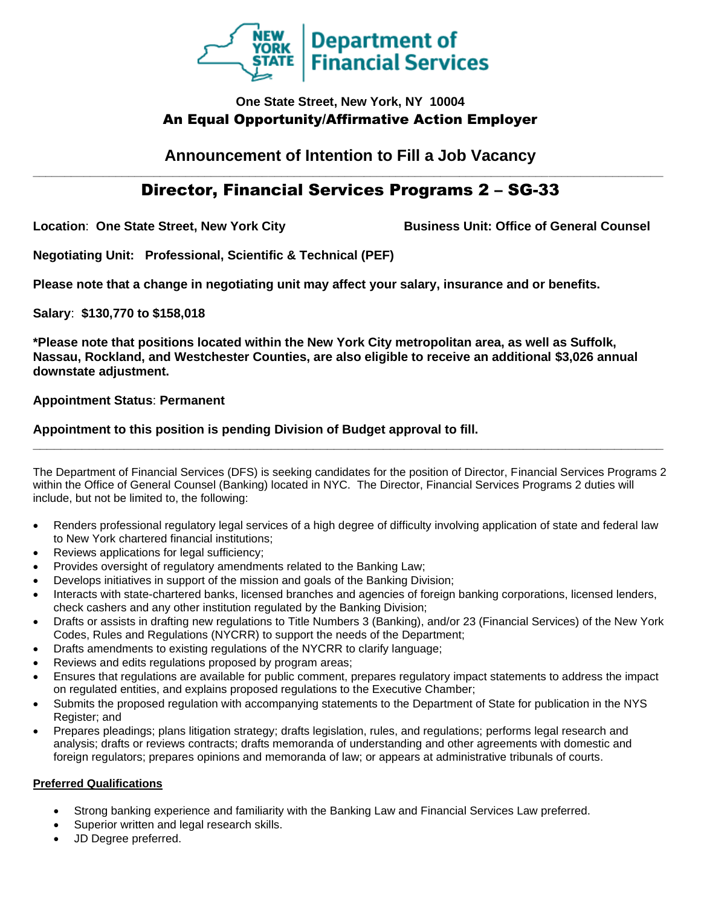

## **One State Street, New York, NY 10004** An Equal Opportunity/Affirmative Action Employer

## **Announcement of Intention to Fill a Job Vacancy \_\_\_\_\_\_\_\_\_\_\_\_\_\_\_\_\_\_\_\_\_\_\_\_\_\_\_\_\_\_\_\_\_\_\_\_\_\_\_\_\_\_\_\_\_\_\_\_\_\_\_\_\_\_\_\_\_\_\_\_\_\_\_\_\_\_\_\_\_\_\_\_\_\_\_\_\_\_\_\_\_\_\_\_\_\_\_\_\_\_\_\_\_\_\_\_\_\_\_**

# Director, Financial Services Programs 2 – SG-33

Location: One State Street, New York City **Business Unit: Office of General Counsel** 

**Negotiating Unit: Professional, Scientific & Technical (PEF)**

**Please note that a change in negotiating unit may affect your salary, insurance and or benefits.**

**Salary**: **\$130,770 to \$158,018**

**\*Please note that positions located within the New York City metropolitan area, as well as Suffolk, Nassau, Rockland, and Westchester Counties, are also eligible to receive an additional \$3,026 annual downstate adjustment.**

**Appointment Status**: **Permanent**

## **Appointment to this position is pending Division of Budget approval to fill.**

The Department of Financial Services (DFS) is seeking candidates for the position of Director, Financial Services Programs 2 within the Office of General Counsel (Banking) located in NYC. The Director, Financial Services Programs 2 duties will include, but not be limited to, the following:

**\_\_\_\_\_\_\_\_\_\_\_\_\_\_\_\_\_\_\_\_\_\_\_\_\_\_\_\_\_\_\_\_\_\_\_\_\_\_\_\_\_\_\_\_\_\_\_\_\_\_\_\_\_\_\_\_\_\_\_\_\_\_\_\_\_\_\_\_\_\_\_\_\_\_\_\_\_\_\_\_\_\_\_\_\_\_\_\_\_\_**

- Renders professional regulatory legal services of a high degree of difficulty involving application of state and federal law to New York chartered financial institutions;
- Reviews applications for legal sufficiency;
- Provides oversight of regulatory amendments related to the Banking Law;
- Develops initiatives in support of the mission and goals of the Banking Division;
- Interacts with state-chartered banks, licensed branches and agencies of foreign banking corporations, licensed lenders, check cashers and any other institution regulated by the Banking Division;
- Drafts or assists in drafting new regulations to Title Numbers 3 (Banking), and/or 23 (Financial Services) of the New York Codes, Rules and Regulations (NYCRR) to support the needs of the Department;
- Drafts amendments to existing regulations of the NYCRR to clarify language;
- Reviews and edits regulations proposed by program areas;
- Ensures that regulations are available for public comment, prepares regulatory impact statements to address the impact on regulated entities, and explains proposed regulations to the Executive Chamber;
- Submits the proposed regulation with accompanying statements to the Department of State for publication in the NYS Register; and
- Prepares pleadings; plans litigation strategy; drafts legislation, rules, and regulations; performs legal research and analysis; drafts or reviews contracts; drafts memoranda of understanding and other agreements with domestic and foreign regulators; prepares opinions and memoranda of law; or appears at administrative tribunals of courts.

#### **Preferred Qualifications**

- Strong banking experience and familiarity with the Banking Law and Financial Services Law preferred.
- Superior written and legal research skills.
- JD Degree preferred.